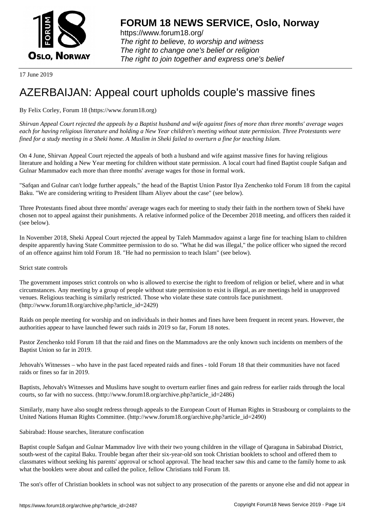

https://www.forum18.org/ The right to believe, to worship and witness The right to change one's belief or religion [The right to join together a](https://www.forum18.org/)nd express one's belief

17 June 2019

## [AZERBAIJAN: A](https://www.forum18.org)ppeal court upholds couple's massive fines

## By Felix Corley, Forum 18 (https://www.forum18.org)

*Shirvan Appeal Court rejected the appeals by a Baptist husband and wife against fines of more than three months' average wages each for having religious literature and holding a New Year children's meeting without state permission. Three Protestants were fined for a study meeting in a Sheki home. A Muslim in Sheki failed to overturn a fine for teaching Islam.*

On 4 June, Shirvan Appeal Court rejected the appeals of both a husband and wife against massive fines for having religious literature and holding a New Year meeting for children without state permission. A local court had fined Baptist couple Safqan and Gulnar Mammadov each more than three months' average wages for those in formal work.

"Safqan and Gulnar can't lodge further appeals," the head of the Baptist Union Pastor Ilya Zenchenko told Forum 18 from the capital Baku. "We are considering writing to President Ilham Aliyev about the case" (see below).

Three Protestants fined about three months' average wages each for meeting to study their faith in the northern town of Sheki have chosen not to appeal against their punishments. A relative informed police of the December 2018 meeting, and officers then raided it (see below).

In November 2018, Sheki Appeal Court rejected the appeal by Taleh Mammadov against a large fine for teaching Islam to children despite apparently having State Committee permission to do so. "What he did was illegal," the police officer who signed the record of an offence against him told Forum 18. "He had no permission to teach Islam" (see below).

## Strict state controls

The government imposes strict controls on who is allowed to exercise the right to freedom of religion or belief, where and in what circumstances. Any meeting by a group of people without state permission to exist is illegal, as are meetings held in unapproved venues. Religious teaching is similarly restricted. Those who violate these state controls face punishment. (http://www.forum18.org/archive.php?article\_id=2429)

Raids on people meeting for worship and on individuals in their homes and fines have been frequent in recent years. However, the authorities appear to have launched fewer such raids in 2019 so far, Forum 18 notes.

Pastor Zenchenko told Forum 18 that the raid and fines on the Mammadovs are the only known such incidents on members of the Baptist Union so far in 2019.

Jehovah's Witnesses – who have in the past faced repeated raids and fines - told Forum 18 that their communities have not faced raids or fines so far in 2019.

Baptists, Jehovah's Witnesses and Muslims have sought to overturn earlier fines and gain redress for earlier raids through the local courts, so far with no success. (http://www.forum18.org/archive.php?article\_id=2486)

Similarly, many have also sought redress through appeals to the European Court of Human Rights in Strasbourg or complaints to the United Nations Human Rights Committee. (http://www.forum18.org/archive.php?article\_id=2490)

## Sabirabad: House searches, literature confiscation

Baptist couple Safqan and Gulnar Mammadov live with their two young children in the village of Qaraguna in Sabirabad District, south-west of the capital Baku. Trouble began after their six-year-old son took Christian booklets to school and offered them to classmates without seeking his parents' approval or school approval. The head teacher saw this and came to the family home to ask what the booklets were about and called the police, fellow Christians told Forum 18.

The son's offer of Christian booklets in school was not subject to any prosecution of the parents or anyone else and did not appear in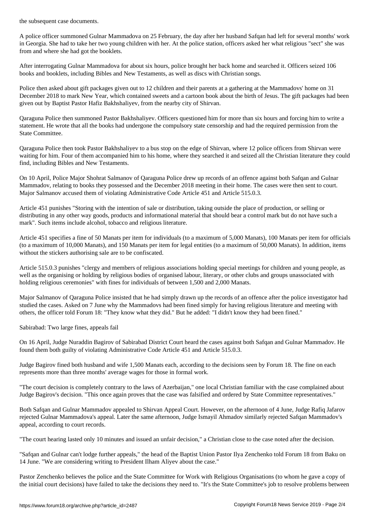A police officer summoned Gulnar Mammadova on 25 February, the day after her husband Safqan had left for several months' work in Georgia. She had to take her two young children with her. At the police station, officers asked her what religious "sect" she was from and where she had got the booklets.

After interrogating Gulnar Mammadova for about six hours, police brought her back home and searched it. Officers seized 106 books and booklets, including Bibles and New Testaments, as well as discs with Christian songs.

Police then asked about gift packages given out to 12 children and their parents at a gathering at the Mammadovs' home on 31 December 2018 to mark New Year, which contained sweets and a cartoon book about the birth of Jesus. The gift packages had been given out by Baptist Pastor Hafiz Bakhshaliyev, from the nearby city of Shirvan.

Qaraguna Police then summoned Pastor Bakhshaliyev. Officers questioned him for more than six hours and forcing him to write a statement. He wrote that all the books had undergone the compulsory state censorship and had the required permission from the State Committee.

Qaraguna Police then took Pastor Bakhshaliyev to a bus stop on the edge of Shirvan, where 12 police officers from Shirvan were waiting for him. Four of them accompanied him to his home, where they searched it and seized all the Christian literature they could find, including Bibles and New Testaments.

On 10 April, Police Major Shohrat Salmanov of Qaraguna Police drew up records of an offence against both Safqan and Gulnar Mammadov, relating to books they possessed and the December 2018 meeting in their home. The cases were then sent to court. Major Salmanov accused them of violating Administrative Code Article 451 and Article 515.0.3.

Article 451 punishes "Storing with the intention of sale or distribution, taking outside the place of production, or selling or distributing in any other way goods, products and informational material that should bear a control mark but do not have such a mark". Such items include alcohol, tobacco and religious literature.

Article 451 specifies a fine of 50 Manats per item for individuals (to a maximum of 5,000 Manats), 100 Manats per item for officials (to a maximum of 10,000 Manats), and 150 Manats per item for legal entities (to a maximum of 50,000 Manats). In addition, items without the stickers authorising sale are to be confiscated.

Article 515.0.3 punishes "clergy and members of religious associations holding special meetings for children and young people, as well as the organising or holding by religious bodies of organised labour, literary, or other clubs and groups unassociated with holding religious ceremonies" with fines for individuals of between 1,500 and 2,000 Manats.

Major Salmanov of Qaraguna Police insisted that he had simply drawn up the records of an offence after the police investigator had studied the cases. Asked on 7 June why the Mammadovs had been fined simply for having religious literature and meeting with others, the officer told Forum 18: "They know what they did." But he added: "I didn't know they had been fined."

Sabirabad: Two large fines, appeals fail

On 16 April, Judge Nuraddin Bagirov of Sabirabad District Court heard the cases against both Safqan and Gulnar Mammadov. He found them both guilty of violating Administrative Code Article 451 and Article 515.0.3.

Judge Bagirov fined both husband and wife 1,500 Manats each, according to the decisions seen by Forum 18. The fine on each represents more than three months' average wages for those in formal work.

"The court decision is completely contrary to the laws of Azerbaijan," one local Christian familiar with the case complained about Judge Bagirov's decision. "This once again proves that the case was falsified and ordered by State Committee representatives."

Both Safqan and Gulnar Mammadov appealed to Shirvan Appeal Court. However, on the afternoon of 4 June, Judge Rafiq Jafarov rejected Gulnar Mammadova's appeal. Later the same afternoon, Judge Ismayil Ahmadov similarly rejected Safqan Mammadov's appeal, according to court records.

"The court hearing lasted only 10 minutes and issued an unfair decision," a Christian close to the case noted after the decision.

"Safqan and Gulnar can't lodge further appeals," the head of the Baptist Union Pastor Ilya Zenchenko told Forum 18 from Baku on 14 June. "We are considering writing to President Ilham Aliyev about the case."

Pastor Zenchenko believes the police and the State Committee for Work with Religious Organisations (to whom he gave a copy of the initial court decisions) have failed to take the decisions they need to. "It's the State Committee's job to resolve problems between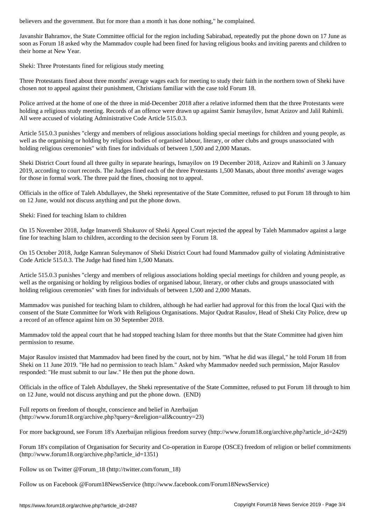Javanshir Bahramov, the State Committee official for the region including Sabirabad, repeatedly put the phone down on 17 June as soon as Forum 18 asked why the Mammadov couple had been fined for having religious books and inviting parents and children to their home at New Year.

Sheki: Three Protestants fined for religious study meeting

Three Protestants fined about three months' average wages each for meeting to study their faith in the northern town of Sheki have chosen not to appeal against their punishment, Christians familiar with the case told Forum 18.

Police arrived at the home of one of the three in mid-December 2018 after a relative informed them that the three Protestants were holding a religious study meeting. Records of an offence were drawn up against Samir Ismayilov, Ismat Azizov and Jalil Rahimli. All were accused of violating Administrative Code Article 515.0.3.

Article 515.0.3 punishes "clergy and members of religious associations holding special meetings for children and young people, as well as the organising or holding by religious bodies of organised labour, literary, or other clubs and groups unassociated with holding religious ceremonies" with fines for individuals of between 1,500 and 2,000 Manats.

Sheki District Court found all three guilty in separate hearings, Ismayilov on 19 December 2018, Azizov and Rahimli on 3 January 2019, according to court records. The Judges fined each of the three Protestants 1,500 Manats, about three months' average wages for those in formal work. The three paid the fines, choosing not to appeal.

Officials in the office of Taleh Abdullayev, the Sheki representative of the State Committee, refused to put Forum 18 through to him on 12 June, would not discuss anything and put the phone down.

Sheki: Fined for teaching Islam to children

On 15 November 2018, Judge Imanverdi Shukurov of Sheki Appeal Court rejected the appeal by Taleh Mammadov against a large fine for teaching Islam to children, according to the decision seen by Forum 18.

On 15 October 2018, Judge Kamran Suleymanov of Sheki District Court had found Mammadov guilty of violating Administrative Code Article 515.0.3. The Judge had fined him 1,500 Manats.

Article 515.0.3 punishes "clergy and members of religious associations holding special meetings for children and young people, as well as the organising or holding by religious bodies of organised labour, literary, or other clubs and groups unassociated with holding religious ceremonies" with fines for individuals of between 1,500 and 2,000 Manats.

Mammadov was punished for teaching Islam to children, although he had earlier had approval for this from the local Qazi with the consent of the State Committee for Work with Religious Organisations. Major Qudrat Rasulov, Head of Sheki City Police, drew up a record of an offence against him on 30 September 2018.

Mammadov told the appeal court that he had stopped teaching Islam for three months but that the State Committee had given him permission to resume.

Major Rasulov insisted that Mammadov had been fined by the court, not by him. "What he did was illegal," he told Forum 18 from Sheki on 11 June 2019. "He had no permission to teach Islam." Asked why Mammadov needed such permission, Major Rasulov responded: "He must submit to our law." He then put the phone down.

Officials in the office of Taleh Abdullayev, the Sheki representative of the State Committee, refused to put Forum 18 through to him on 12 June, would not discuss anything and put the phone down. (END)

Full reports on freedom of thought, conscience and belief in Azerbaijan (http://www.forum18.org/archive.php?query=&religion=all&country=23)

For more background, see Forum 18's Azerbaijan religious freedom survey (http://www.forum18.org/archive.php?article\_id=2429)

Forum 18's compilation of Organisation for Security and Co-operation in Europe (OSCE) freedom of religion or belief commitments (http://www.forum18.org/archive.php?article\_id=1351)

Follow us on Twitter @Forum\_18 (http://twitter.com/forum\_18)

Follow us on Facebook @Forum18NewsService (http://www.facebook.com/Forum18NewsService)